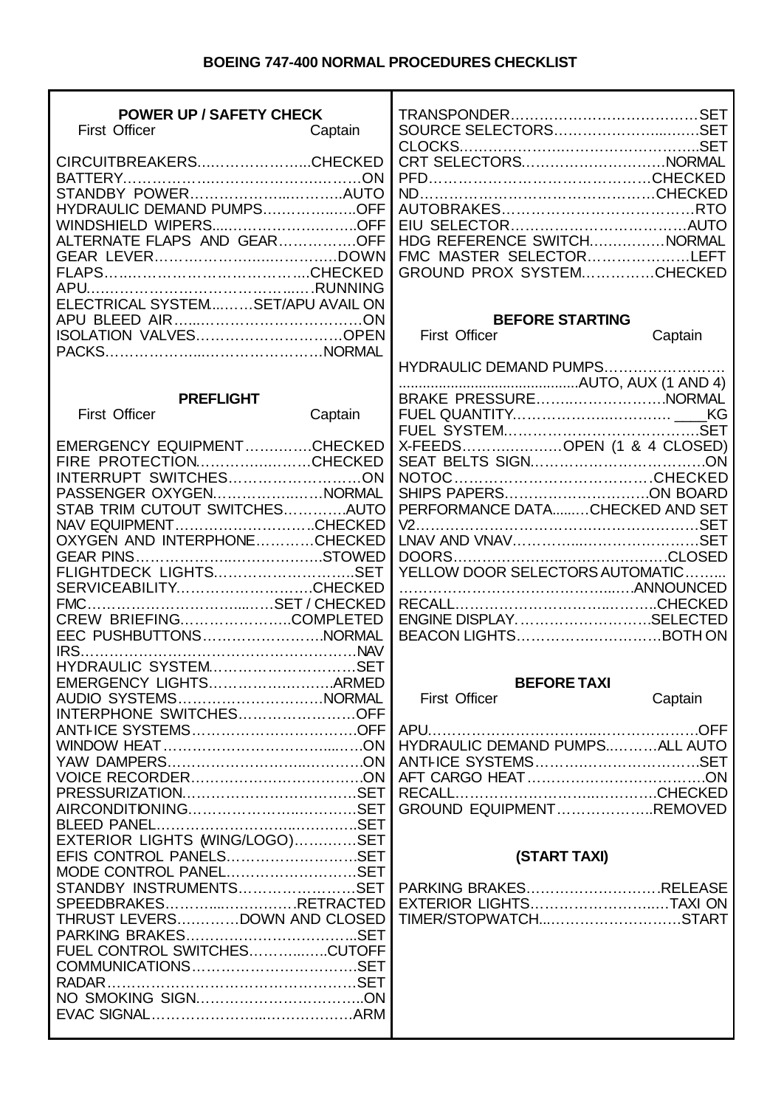## **BOEING 747-400 NORMAL PROCEDURES CHECKLIST**

| <b>POWER UP / SAFETY CHECK</b><br><b>First Officer</b> | Captain | SOURCE SELECTORSSET             |         |
|--------------------------------------------------------|---------|---------------------------------|---------|
|                                                        |         |                                 |         |
| CIRCUITBREAKERSCHECKED                                 |         | CRT SELECTORSNORMAL             |         |
|                                                        |         |                                 |         |
| HYDRAULIC DEMAND PUMPSOFF                              |         |                                 |         |
| WINDSHIELD WIPERSOFF                                   |         |                                 |         |
| ALTERNATE FLAPS AND GEAROFF                            |         | HDG REFERENCE SWITCHNORMAL      |         |
|                                                        |         | FMC MASTER SELECTORLEFT         |         |
|                                                        |         | GROUND PROX SYSTEMCHECKED       |         |
|                                                        |         |                                 |         |
| ELECTRICAL SYSTEMSET/APU AVAIL ON                      |         |                                 |         |
|                                                        |         | <b>BEFORE STARTING</b>          |         |
| ISOLATION VALVESOPEN                                   |         | <b>First Officer</b>            | Captain |
|                                                        |         |                                 |         |
|                                                        |         | HYDRAULIC DEMAND PUMPS          |         |
|                                                        |         |                                 |         |
| <b>PREFLIGHT</b>                                       |         | BRAKE PRESSURENORMAL            |         |
| <b>First Officer</b>                                   | Captain |                                 |         |
|                                                        |         |                                 |         |
| EMERGENCY EQUIPMENTCHECKED                             |         | X-FEEDSOPEN (1 & 4 CLOSED)      |         |
| FIRE PROTECTIONCHECKED                                 |         |                                 |         |
| INTERRUPT SWITCHESON                                   |         |                                 |         |
| PASSENGER OXYGENNORMAL                                 |         | SHIPS PAPERSON BOARD            |         |
| STAB TRIM CUTOUT SWITCHESAUTO                          |         | PERFORMANCE DATACHECKED AND SET |         |
| NAV EQUIPMENTCHECKED                                   |         |                                 |         |
| OXYGEN AND INTERPHONECHECKED                           |         |                                 |         |
|                                                        |         |                                 |         |
| FLIGHTDECK LIGHTSSET                                   |         | YELLOW DOOR SELECTORS AUTOMATIC |         |
| SERVICEABILITYCHECKED                                  |         |                                 |         |
|                                                        |         |                                 |         |
| CREW BRIEFINGCOMPLETED                                 |         | ENGINE DISPLAYSELECTED          |         |
| EEC PUSHBUTTONSNORMAL                                  |         | BEACON LIGHTSBOTH ON            |         |
| HYDRAULIC SYSTEMSET                                    |         |                                 |         |
| EMERGENCY LIGHTSARMED                                  |         | <b>BEFORE TAXI</b>              |         |
| AUDIO SYSTEMSNORMAL                                    |         | <b>First Officer</b>            |         |
| INTERPHONE SWITCHESOFF                                 |         |                                 | Captain |
|                                                        |         | APU                             |         |
|                                                        |         | HYDRAULIC DEMAND PUMPSALL AUTO  |         |
|                                                        |         |                                 |         |
|                                                        |         |                                 |         |
|                                                        |         |                                 |         |
|                                                        |         | GROUND EQUIPMENTREMOVED         |         |
|                                                        |         |                                 |         |
| EXTERIOR LIGHTS (WING/LOGO)SET                         |         |                                 |         |
| EFIS CONTROL PANELSSET                                 |         | (START TAXI)                    |         |
| MODE CONTROL PANELSET                                  |         |                                 |         |
| STANDBY INSTRUMENTSSET                                 |         | PARKING BRAKESRELEASE           |         |
| SPEEDBRAKESRETRACTED                                   |         | EXTERIOR LIGHTSTAXI ON          |         |
| THRUST LEVERSDOWN AND CLOSED                           |         | TIMER/STOPWATCHSTART            |         |
|                                                        |         |                                 |         |
| FUEL CONTROL SWITCHESCUTOFF                            |         |                                 |         |
|                                                        |         |                                 |         |
|                                                        |         |                                 |         |
|                                                        |         |                                 |         |
|                                                        |         |                                 |         |
|                                                        |         |                                 |         |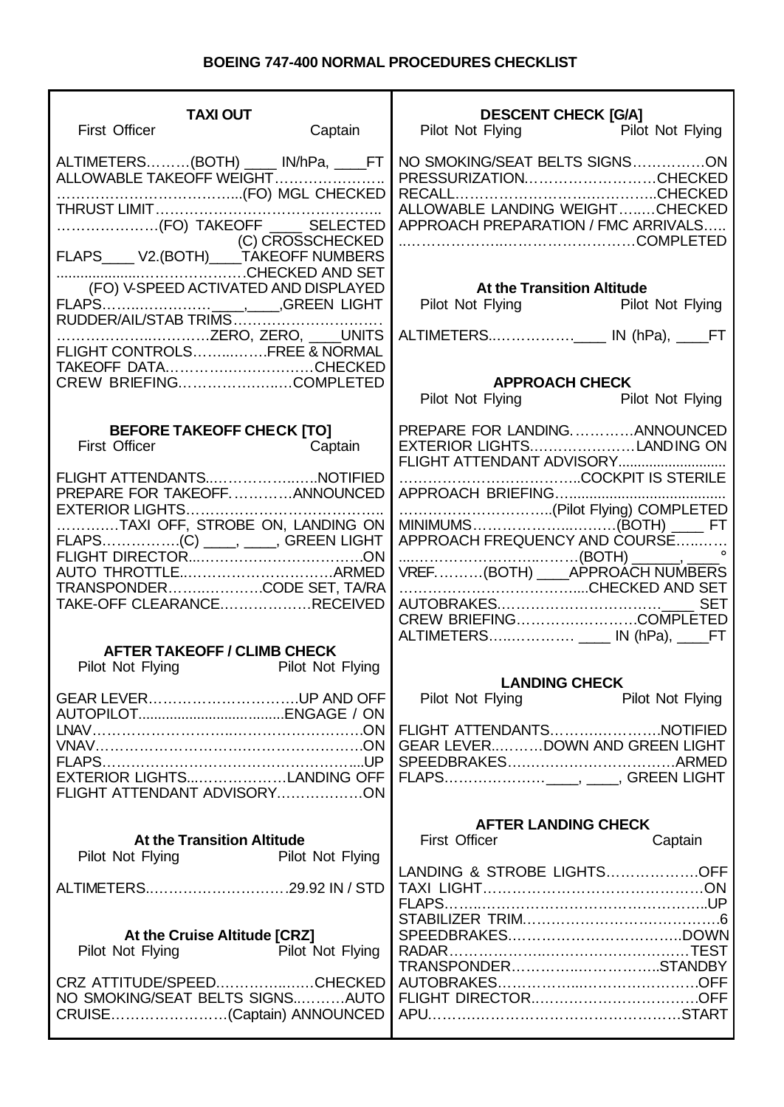## **BOEING 747-400 NORMAL PROCEDURES CHECKLIST**

| <b>TAXI OUT</b><br><b>First Officer</b>                                                                                       | Captain                 | <b>DESCENT CHECK [G/A]</b><br>Pilot Not Flying<br>Pilot Not Flying                                                               |
|-------------------------------------------------------------------------------------------------------------------------------|-------------------------|----------------------------------------------------------------------------------------------------------------------------------|
| ALTIMETERS(BOTH) ____ IN/hPa, ____FT<br>ALLOWABLE TAKEOFF WEIGHT<br>C) CROSSCHECKED<br>FLAPS____ V2.(BOTH)____TAKEOFF NUMBERS |                         | NO SMOKING/SEAT BELTS SIGNSON<br>PRESSURIZATIONCHECKED<br>ALLOWABLE LANDING WEIGHTCHECKED<br>APPROACH PREPARATION / FMC ARRIVALS |
| (FO) V-SPEED ACTIVATED AND DISPLAYED                                                                                          |                         | <b>At the Transition Altitude</b><br>Pilot Not Flying Pilot Not Flying                                                           |
| FLIGHT CONTROLSFREE & NORMAL<br>TAKEOFF DATACHECKED                                                                           |                         | <b>APPROACH CHECK</b>                                                                                                            |
|                                                                                                                               |                         | Pilot Not Flying Pilot Not Flying                                                                                                |
| <b>BEFORE TAKEOFF CHECK [TO]</b><br><b>First Officer</b><br><b>Captain</b>                                                    |                         | PREPARE FOR LANDINGANNOUNCED<br>EXTERIOR LIGHTSLANDING ON<br>FLIGHT ATTENDANT ADVISORY                                           |
| FLIGHT ATTENDANTSNOTIFIED<br>PREPARE FOR TAKEOFFANNOUNCED                                                                     |                         |                                                                                                                                  |
| TAXI OFF, STROBE ON, LANDING ON<br>FLAPS(C) _____, _____, GREEN LIGHT                                                         |                         | APPROACH FREQUENCY AND COURSE                                                                                                    |
| TRANSPONDERCODE SET, TA/RA<br>TAKE-OFF CLEARANCERECEIVED                                                                      |                         | VREF(BOTH) _____ APPROACH NUMBERS<br><b>SET</b><br>CREW BRIEFINGCOMPLETED<br>ALTIMETERS ____ IN (hPa), ____FT                    |
| <b>AFTER TAKEOFF / CLIMB CHECK</b><br>Pilot Not Flying Pilot Not Flying                                                       |                         |                                                                                                                                  |
| GEAR LEVERUP AND OFF                                                                                                          |                         | <b>LANDING CHECK</b><br>Pilot Not Flying<br><b>Pilot Not Flying</b>                                                              |
| EXTERIOR LIGHTSLANDING OFF                                                                                                    |                         | FLIGHT ATTENDANTSNOTIFIED<br>GEAR LEVERDOWN AND GREEN LIGHT                                                                      |
| FLIGHT ATTENDANT ADVISORYON                                                                                                   |                         |                                                                                                                                  |
| <b>At the Transition Altitude</b><br>Pilot Not Flying                                                                         |                         | <b>AFTER LANDING CHECK</b><br><b>First Officer</b><br>Captain                                                                    |
| ALTIMETERS29.92 IN / STD                                                                                                      | <b>Pilot Not Flying</b> | LANDING & STROBE LIGHTSOFF                                                                                                       |
| At the Cruise Altitude [CRZ]<br>Pilot Not Flying Pilot Not Flying                                                             |                         |                                                                                                                                  |
| CRZ ATTITUDE/SPEEDCHECKED<br>NO SMOKING/SEAT BELTS SIGNSAUTO<br>CRUISE(Captain) ANNOUNCED                                     |                         | TRANSPONDERSTANDBY                                                                                                               |